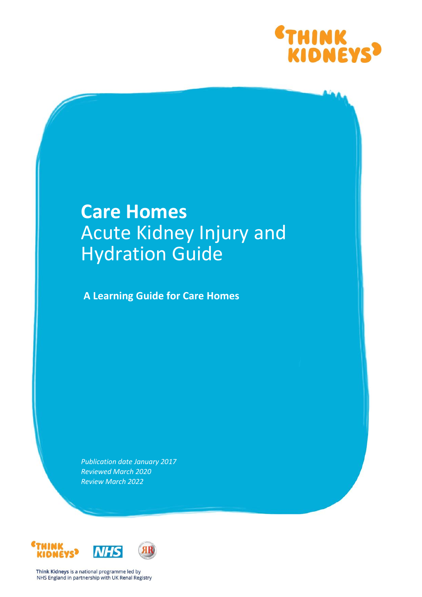

# **Care Homes** Acute Kidney Injury and Hydration Guide

**A Learning Guide for Care Homes**

*Publication date January 2017 Reviewed March 2020 Review March 2022*



Think Kidneys is a national programme led by NHS England in partnership with UK Renal Registry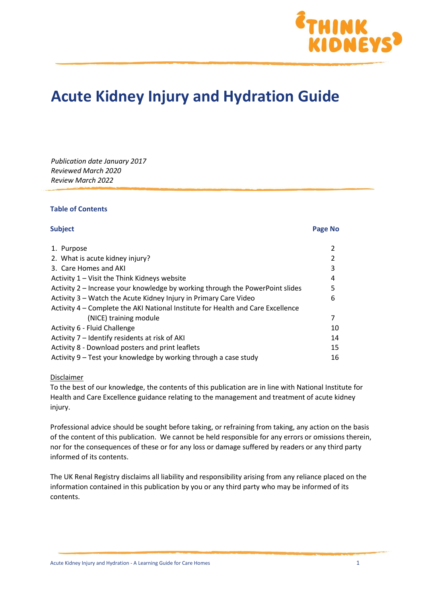

# **Acute Kidney Injury and Hydration Guide**

*Publication date January 2017 Reviewed March 2020 Review March 2022*

#### **Table of Contents**

#### **Subject Page No**

### 1. Purpose 2 2. What is acute kidney injury? 2 3. Care Homes and AKI 3 Activity 1 – Visit the Think Kidneys website 4 and 1990 and 1990 and 1990 and 1990 and 1990 and 1990 and 1990  $\pm 4$ Activity 2 – Increase your knowledge by working through the PowerPoint slides 5 Activity 3 – Watch the Acute Kidney Injury in Primary Care Video 6 Activity 4 – Complete the AKI National Institute for Health and Care Excellence (NICE) training module 7 Activity 6 - Fluid Challenge 10 Activity 7 – Identify residents at risk of AKI 14 Activity 8 - Download posters and print leaflets 15 Activity 9 – Test your knowledge by working through a case study 16

Disclaimer

To the best of our knowledge, the contents of this publication are in line with National Institute for Health and Care Excellence guidance relating to the management and treatment of acute kidney injury.

Professional advice should be sought before taking, or refraining from taking, any action on the basis of the content of this publication. We cannot be held responsible for any errors or omissions therein, nor for the consequences of these or for any loss or damage suffered by readers or any third party informed of its contents.

The UK Renal Registry disclaims all liability and responsibility arising from any reliance placed on the information contained in this publication by you or any third party who may be informed of its contents.

Acute Kidney Injury a Guide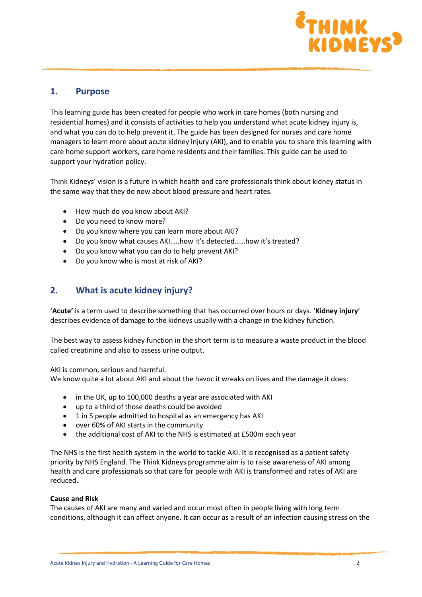

## **1. Purpose**

This learning guide has been created for people who work in care homes (both nursing and residential homes) and it consists of activities to help you understand what acute kidney injury is, and what you can do to help prevent it. The guide has been designed for nurses and care home managers to learn more about acute kidney injury (AKI), and to enable you to share this learning with care home support workers, care home residents and their families. This guide can be used to support your hydration policy.

Think Kidneys' vision is a future in which health and care professionals think about kidney status in the same way that they do now about blood pressure and heart rates.

- How much do you know about AKI?
- Do you need to know more?
- Do you know where you can learn more about AKI?
- Do you know what causes AKI…..how it's detected……how it's treated?
- Do you know what you can do to help prevent AKI?
- Do you know who is most at risk of AKI?

## **2. What is acute kidney injury?**

'**Acute'** is a term used to describe something that has occurred over hours or days. '**Kidney injury**' describes evidence of damage to the kidneys usually with a change in the kidney function.

The best way to assess kidney function in the short term is to measure a waste product in the blood called creatinine and also to assess urine output.

AKI is common, serious and harmful.

We know quite a lot about AKI and about the havoc it wreaks on lives and the damage it does:

• in the UK, up to 100,000 deaths a year are associated with AKI

Acute Kidney Injury a Guide

- up to a third of those deaths could be avoided
- 1 in 5 people admitted to hospital as an emergency has AKI
- over 60% of AKI starts in the community
- the additional cost of AKI to the NHS is estimated at £500m each year

The NHS is the first health system in the world to tackle AKI. It is recognised as a patient safety priority by NHS England. The Think Kidneys programme aim is to raise awareness of AKI among health and care professionals so that care for people with AKI is transformed and rates of AKI are reduced.

#### **Cause and Risk**

The causes of AKI are many and varied and occur most often in people living with long term conditions, although it can affect anyone. It can occur as a result of an infection causing stress on the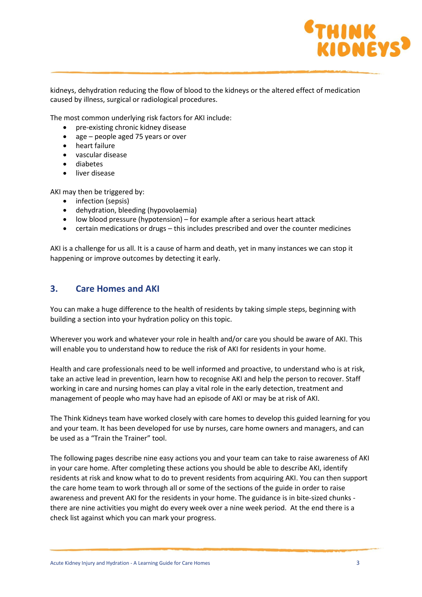

kidneys, dehydration reducing the flow of blood to the kidneys or the altered effect of medication caused by illness, surgical or radiological procedures.

The most common underlying risk factors for AKI include:

- pre-existing chronic kidney disease
- age people aged 75 years or over
- heart failure
- vascular disease
- diabetes
- liver disease

AKI may then be triggered by:

- infection (sepsis)
- dehydration, bleeding (hypovolaemia)
- low blood pressure (hypotension) for example after a serious heart attack
- certain medications or drugs this includes prescribed and over the counter medicines

AKI is a challenge for us all. It is a cause of harm and death, yet in many instances we can stop it happening or improve outcomes by detecting it early.

#### **3. Care Homes and AKI**

You can make a huge difference to the health of residents by taking simple steps, beginning with building a section into your hydration policy on this topic.

Wherever you work and whatever your role in health and/or care you should be aware of AKI. This will enable you to understand how to reduce the risk of AKI for residents in your home.

Health and care professionals need to be well informed and proactive, to understand who is at risk, take an active lead in prevention, learn how to recognise AKI and help the person to recover. Staff working in care and nursing homes can play a vital role in the early detection, treatment and management of people who may have had an episode of AKI or may be at risk of AKI.

The Think Kidneys team have worked closely with care homes to develop this guided learning for you and your team. It has been developed for use by nurses, care home owners and managers, and can be used as a "Train the Trainer" tool.

The following pages describe nine easy actions you and your team can take to raise awareness of AKI in your care home. After completing these actions you should be able to describe AKI, identify residents at risk and know what to do to prevent residents from acquiring AKI. You can then support the care home team to work through all or some of the sections of the guide in order to raise awareness and prevent AKI for the residents in your home. The guidance is in bite-sized chunks there are nine activities you might do every week over a nine week period. At the end there is a check list against which you can mark your progress.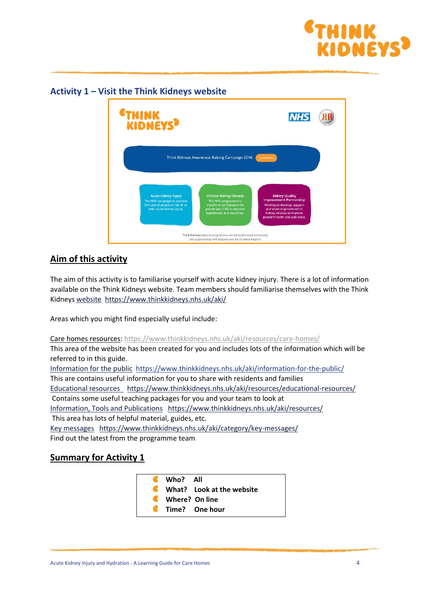

### **Activity 1 – Visit the Think Kidneys website**



## **Aim of this activity**

The aim of this activity is to familiarise yourself with acute kidney injury. There is a lot of information available on the Think Kidneys website. Team members should familiarise themselves with the Think Kidneys [website](https://www.thinkkidneys.nhs.uk/) <https://www.thinkkidneys.nhs.uk/aki/>

Areas which you might find especially useful include:

Care homes resources[: https://www.thinkkidneys.nhs.uk/aki/resources/care-homes/](https://www.thinkkidneys.nhs.uk/aki/resources/care-homes/)

This area of the website has been created for you and includes lots of the information which will be referred to in this guide.

[Information for the public](https://www.thinkkidneys.nhs.uk/information-for-the-public/) <https://www.thinkkidneys.nhs.uk/aki/information-for-the-public/>

This are contains useful information for you to share with residents and families

[Educational resources](https://www.thinkkidneys.nhs.uk/resources/educational-resources/#education-results-filter) <https://www.thinkkidneys.nhs.uk/aki/resources/educational-resources/>

Contains some useful teaching packages for you and your team to look at

[Information, Tools and Publications](https://www.thinkkidneys.nhs.uk/resources/) <https://www.thinkkidneys.nhs.uk/aki/resources/>

This area has lots of helpful material, guides, etc.

[Key messages](https://www.thinkkidneys.nhs.uk/category/key-messages/) <https://www.thinkkidneys.nhs.uk/aki/category/key-messages/> Find out the latest from the programme team

## **Summary for Activity 1**

| $\bullet$ Who? All |                           |
|--------------------|---------------------------|
|                    | What? Look at the website |
|                    | Where? On line            |
|                    | <b>C</b> Time? One hour   |
|                    |                           |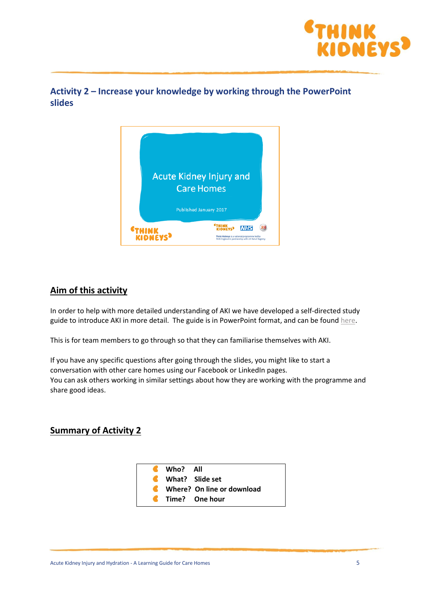



## **Activity 2 – Increase your knowledge by working through the PowerPoint slides**

## **Aim of this activity**

In order to help with more detailed understanding of AKI we have developed a self-directed study guide to introduce AKI in more detail. The guide is in PowerPoint format, and can be foun[d here.](https://www.thinkkidneys.nhs.uk/aki/wp-content/uploads/sites/2/2016/02/AKI-and-Care-Homes-Presentation.pdf)

This is for team members to go through so that they can familiarise themselves with AKI.

If you have any specific questions after going through the slides, you might like to start a conversation with other care homes using our Facebook or LinkedIn pages. You can ask others working in similar settings about how they are working with the programme and share good ideas.

## **Summary of Activity 2**

| Who? All |                            |
|----------|----------------------------|
|          | What? Slide set            |
|          | Where? On line or download |
|          | Time? One hour             |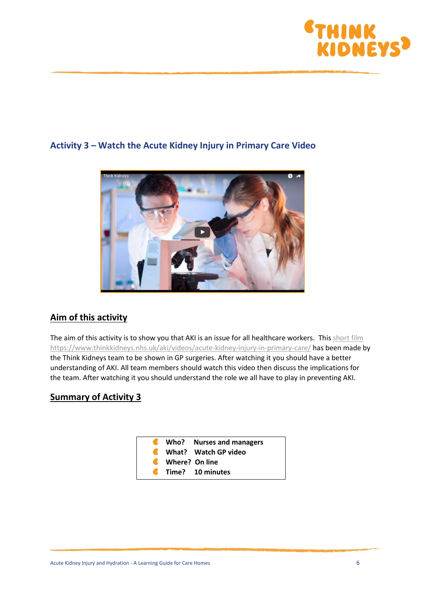

## **Activity 3 – Watch the Acute Kidney Injury in Primary Care Video**



## **Aim of this activity**

The aim of this activity is to show you that AKI is an issue for all healthcare workers. Thi[s short film](https://www.thinkkidneys.nhs.uk/aki/videos/acute-kidney-injury-in-primary-care/) <https://www.thinkkidneys.nhs.uk/aki/videos/acute-kidney-injury-in-primary-care/> has been made by the Think Kidneys team to be shown in GP surgeries. After watching it you should have a better understanding of AKI. All team members should watch this video then discuss the implications for the team. After watching it you should understand the role we all have to play in preventing AKI.

## **Summary of Activity 3**

|                      | Who? Nurses and managers |
|----------------------|--------------------------|
| What? Watch GP video |                          |
| Where? On line       |                          |
| Time? 10 minutes     |                          |
|                      |                          |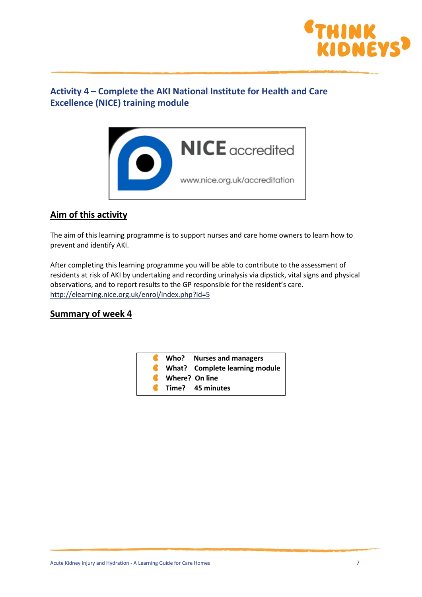

## **Activity 4 – Complete the AKI National Institute for Health and Care Excellence (NICE) training module**



## **Aim of this activity**

The aim of this learning programme is to support nurses and care home owners to learn how to prevent and identify AKI.

After completing this learning programme you will be able to contribute to the assessment of residents at risk of AKI by undertaking and recording urinalysis via dipstick, vital signs and physical observations, and to report results to the GP responsible for the resident's care. <http://elearning.nice.org.uk/enrol/index.php?id=5>

## **Summary of week 4**

|                | Who? Nurses and managers       |
|----------------|--------------------------------|
|                | What? Complete learning module |
| Where? On line |                                |
|                | Time? 45 minutes               |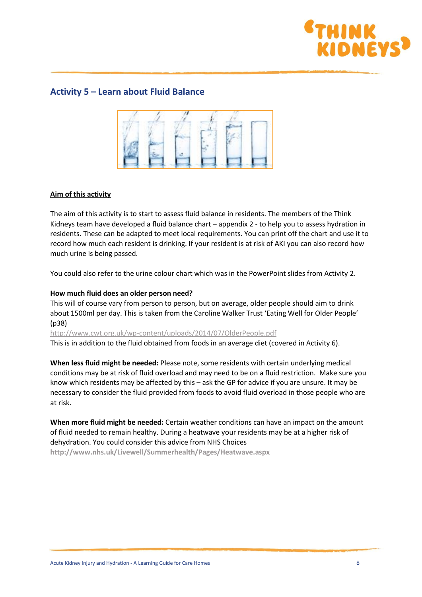

## **Activity 5 – Learn about Fluid Balance**



#### **Aim of this activity**

The aim of this activity is to start to assess fluid balance in residents. The members of the Think Kidneys team have developed a fluid balance chart – appendix 2 - to help you to assess hydration in residents. These can be adapted to meet local requirements. You can print off the chart and use it to record how much each resident is drinking. If your resident is at risk of AKI you can also record how much urine is being passed.

You could also refer to the urine colour chart which was in the PowerPoint slides from Activity 2.

#### **How much fluid does an older person need?**

This will of course vary from person to person, but on average, older people should aim to drink about 1500ml per day. This is taken from the Caroline Walker Trust 'Eating Well for Older People' (p38)

<http://www.cwt.org.uk/wp-content/uploads/2014/07/OlderPeople.pdf>

This is in addition to the fluid obtained from foods in an average diet (covered in Activity 6).

**When less fluid might be needed:** Please note, some residents with certain underlying medical conditions may be at risk of fluid overload and may need to be on a fluid restriction. Make sure you know which residents may be affected by this – ask the GP for advice if you are unsure. It may be necessary to consider the fluid provided from foods to avoid fluid overload in those people who are at risk.

**When more fluid might be needed:** Certain weather conditions can have an impact on the amount of fluid needed to remain healthy. During a heatwave your residents may be at a higher risk of dehydration. You could consider this advice from NHS Choices **<http://www.nhs.uk/Livewell/Summerhealth/Pages/Heatwave.aspx>**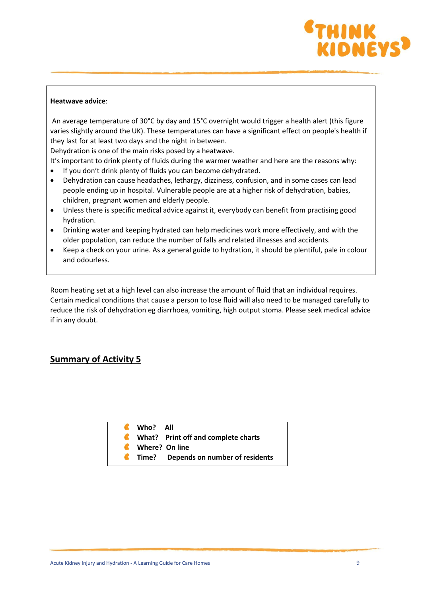

#### **Heatwave advice**:

An average temperature of 30°C by day and 15°C overnight would trigger a health alert (this figure varies slightly around the UK). These temperatures can have a significant effect on people's health if they last for at least two days and the night in between.

Dehydration is one of the main risks posed by a heatwave.

It's important to drink plenty of fluids during the warmer weather and here are the reasons why:

- If you don't drink plenty of fluids you can become dehydrated.
- Dehydration can cause headaches, lethargy, dizziness, confusion, and in some cases can lead people ending up in hospital. Vulnerable people are at a higher risk of dehydration, babies, children, pregnant women and elderly people.
- Unless there is specific medical advice against it, everybody can benefit from practising good hydration.
- Drinking water and keeping hydrated can help medicines work more effectively, and with the older population, can reduce the number of falls and related illnesses and accidents.
- Keep a check on your urine. As a general guide to hydration, it should be plentiful, pale in colour and odourless.

Room heating set at a high level can also increase the amount of fluid that an individual requires. Certain medical conditions that cause a person to lose fluid will also need to be managed carefully to reduce the risk of dehydration eg diarrhoea, vomiting, high output stoma. Please seek medical advice if in any doubt.

#### **Summary of Activity 5**

| Who? All                        |                                      |
|---------------------------------|--------------------------------------|
|                                 | What? Print off and complete charts  |
| Where? On line<br>$\mathcal{L}$ |                                      |
|                                 | Time? Depends on number of residents |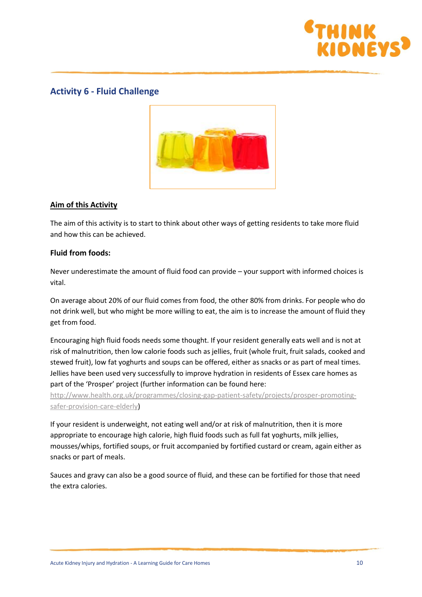

## **Activity 6 - Fluid Challenge**



#### **Aim of this Activity**

The aim of this activity is to start to think about other ways of getting residents to take more fluid and how this can be achieved.

#### **Fluid from foods:**

Never underestimate the amount of fluid food can provide – your support with informed choices is vital.

On average about 20% of our fluid comes from food, the other 80% from drinks. For people who do not drink well, but who might be more willing to eat, the aim is to increase the amount of fluid they get from food.

Encouraging high fluid foods needs some thought. If your resident generally eats well and is not at risk of malnutrition, then low calorie foods such as jellies, fruit (whole fruit, fruit salads, cooked and stewed fruit), low fat yoghurts and soups can be offered, either as snacks or as part of meal times. Jellies have been used very successfully to improve hydration in residents of Essex care homes as part of the 'Prosper' project (further information can be found here:

[http://www.health.org.uk/programmes/closing-gap-patient-safety/projects/prosper-promoting](http://www.health.org.uk/programmes/closing-gap-patient-safety/projects/prosper-promoting-safer-provision-care-elderly)[safer-provision-care-elderly\)](http://www.health.org.uk/programmes/closing-gap-patient-safety/projects/prosper-promoting-safer-provision-care-elderly)

If your resident is underweight, not eating well and/or at risk of malnutrition, then it is more appropriate to encourage high calorie, high fluid foods such as full fat yoghurts, milk jellies, mousses/whips, fortified soups, or fruit accompanied by fortified custard or cream, again either as snacks or part of meals.

Sauces and gravy can also be a good source of fluid, and these can be fortified for those that need the extra calories.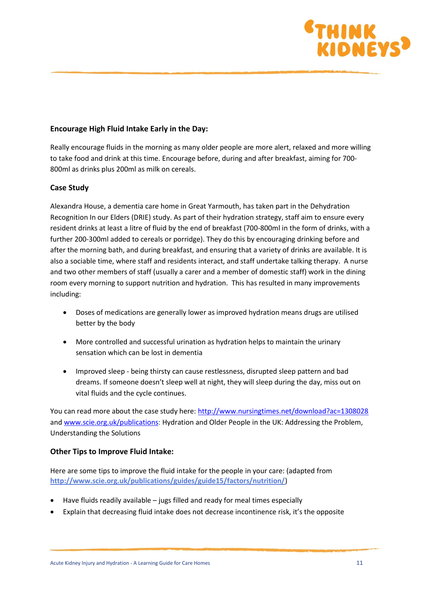

#### **Encourage High Fluid Intake Early in the Day:**

Really encourage fluids in the morning as many older people are more alert, relaxed and more willing to take food and drink at this time. Encourage before, during and after breakfast, aiming for 700- 800ml as drinks plus 200ml as milk on cereals.

#### **Case Study**

Alexandra House, a dementia care home in Great Yarmouth, has taken part in the Dehydration Recognition In our Elders (DRIE) study. As part of their hydration strategy, staff aim to ensure every resident drinks at least a litre of fluid by the end of breakfast (700-800ml in the form of drinks, with a further 200-300ml added to cereals or porridge). They do this by encouraging drinking before and after the morning bath, and during breakfast, and ensuring that a variety of drinks are available. It is also a sociable time, where staff and residents interact, and staff undertake talking therapy. A nurse and two other members of staff (usually a carer and a member of domestic staff) work in the dining room every morning to support nutrition and hydration. This has resulted in many improvements including:

- Doses of medications are generally lower as improved hydration means drugs are utilised better by the body
- More controlled and successful urination as hydration helps to maintain the urinary sensation which can be lost in dementia
- Improved sleep being thirsty can cause restlessness, disrupted sleep pattern and bad dreams. If someone doesn't sleep well at night, they will sleep during the day, miss out on vital fluids and the cycle continues.

You can read more about the case study here:<http://www.nursingtimes.net/download?ac=1308028> and [www.scie.org.uk/publications:](http://www.scie.org.uk/publications) Hydration and Older People in the UK: Addressing the Problem, Understanding the Solutions

#### **Other Tips to Improve Fluid Intake:**

Here are some tips to improve the fluid intake for the people in your care: (adapted from **<http://www.scie.org.uk/publications/guides/guide15/factors/nutrition/>**)

- Have fluids readily available jugs filled and ready for meal times especially
- Explain that decreasing fluid intake does not decrease incontinence risk, it's the opposite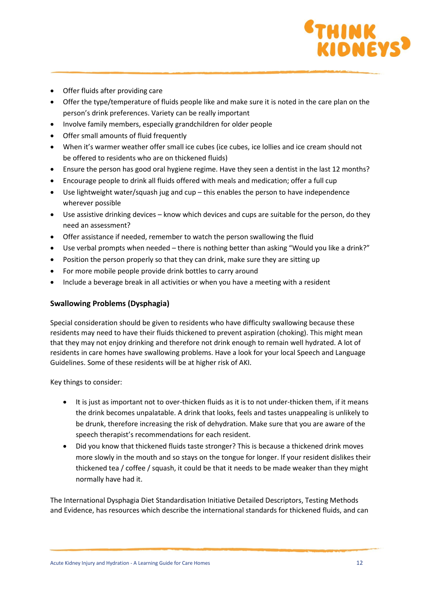

- Offer fluids after providing care
- Offer the type/temperature of fluids people like and make sure it is noted in the care plan on the person's drink preferences. Variety can be really important
- Involve family members, especially grandchildren for older people
- Offer small amounts of fluid frequently
- When it's warmer weather offer small ice cubes (ice cubes, ice lollies and ice cream should not be offered to residents who are on thickened fluids)
- Ensure the person has good oral hygiene regime. Have they seen a dentist in the last 12 months?
- Encourage people to drink all fluids offered with meals and medication; offer a full cup
- Use lightweight water/squash jug and cup this enables the person to have independence wherever possible
- Use assistive drinking devices know which devices and cups are suitable for the person, do they need an assessment?
- Offer assistance if needed, remember to watch the person swallowing the fluid
- Use verbal prompts when needed there is nothing better than asking "Would you like a drink?"
- Position the person properly so that they can drink, make sure they are sitting up
- For more mobile people provide drink bottles to carry around
- Include a beverage break in all activities or when you have a meeting with a resident

#### **Swallowing Problems (Dysphagia)**

Special consideration should be given to residents who have difficulty swallowing because these residents may need to have their fluids thickened to prevent aspiration (choking). This might mean that they may not enjoy drinking and therefore not drink enough to remain well hydrated. A lot of residents in care homes have swallowing problems. Have a look for your local Speech and Language Guidelines. Some of these residents will be at higher risk of AKI.

Key things to consider:

- It is just as important not to over-thicken fluids as it is to not under-thicken them, if it means the drink becomes unpalatable. A drink that looks, feels and tastes unappealing is unlikely to be drunk, therefore increasing the risk of dehydration. Make sure that you are aware of the speech therapist's recommendations for each resident.
- Did you know that thickened fluids taste stronger? This is because a thickened drink moves more slowly in the mouth and so stays on the tongue for longer. If your resident dislikes their thickened tea / coffee / squash, it could be that it needs to be made weaker than they might normally have had it.

The International Dysphagia Diet Standardisation Initiative Detailed Descriptors, Testing Methods and Evidence, has resources which describe the international standards for thickened fluids, and can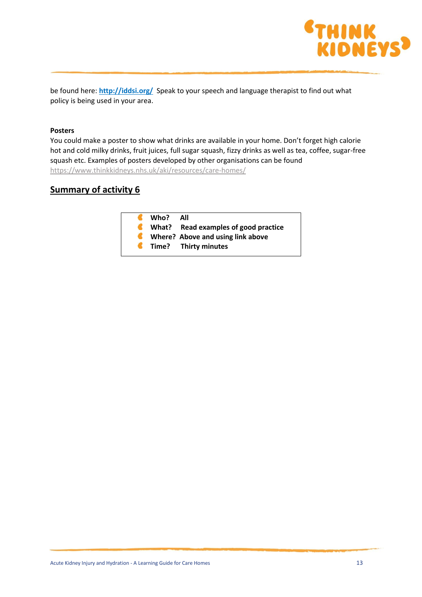

be found here: **<http://iddsi.org/>** Speak to your speech and language therapist to find out what policy is being used in your area.

#### **Posters**

You could make a poster to show what drinks are available in your home. Don't forget high calorie hot and cold milky drinks, fruit juices, full sugar squash, fizzy drinks as well as tea, coffee, sugar-free squash etc. Examples of posters developed by other organisations can be found <https://www.thinkkidneys.nhs.uk/aki/resources/care-homes/>

#### **Summary of activity 6**

| Who? All |                                      |
|----------|--------------------------------------|
|          | What? Read examples of good practice |
|          | Where? Above and using link above    |
|          | Time? Thirty minutes                 |
|          |                                      |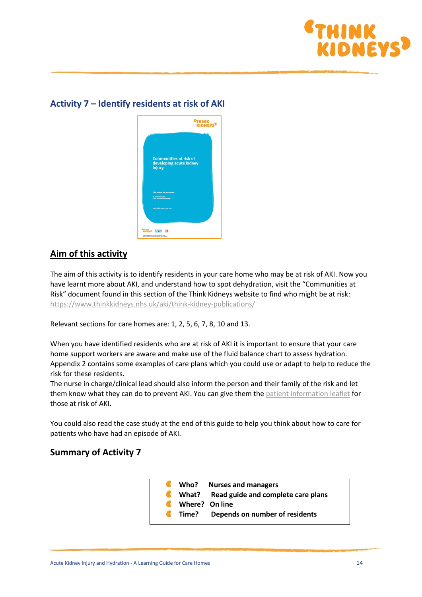

## **Activity 7 – Identify residents at risk of AKI**



## **Aim of this activity**

The aim of this activity is to identify residents in your care home who may be at risk of AKI. Now you have learnt more about AKI, and understand how to spot dehydration, visit the "Communities at Risk" document found in this section of the Think Kidneys website to find who might be at risk: <https://www.thinkkidneys.nhs.uk/aki/think-kidney-publications/>

Relevant sections for care homes are: 1, 2, 5, 6, 7, 8, 10 and 13.

When you have identified residents who are at risk of AKI it is important to ensure that your care home support workers are aware and make use of the fluid balance chart to assess hydration. Appendix 2 contains some examples of care plans which you could use or adapt to help to reduce the risk for these residents.

The nurse in charge/clinical lead should also inform the person and their family of the risk and let them know what they can do to prevent AKI. You can give them the [patient information leaflet](https://www.thinkkidneys.nhs.uk/aki/wp-content/uploads/sites/2/2016/02/BKPA-Patient-at-Risk-Leaflet_Printout.pdf) for those at risk of AKI.

You could also read the case study at the end of this guide to help you think about how to care for patients who have had an episode of AKI.

## **Summary of Activity 7**

|                | Who? Nurses and managers                 |
|----------------|------------------------------------------|
|                | What? Read guide and complete care plans |
| Where? On line |                                          |
|                | Time? Depends on number of residents     |
|                |                                          |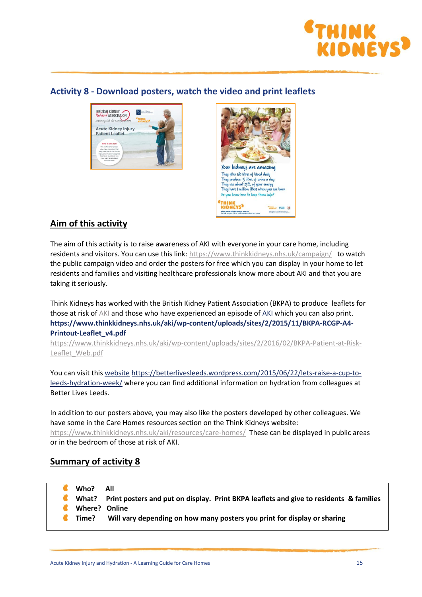

## **Activity 8 - Download posters, watch the video and print leaflets**





## **Aim of this activity**

The aim of this activity is to raise awareness of AKI with everyone in your care home, including residents and visitors. You can use this link[: https://www.thinkkidneys.nhs.uk/campaign/](https://www.thinkkidneys.nhs.uk/campaign/) to watch the public campaign video and order the posters for free which you can display in your home to let residents and families and visiting healthcare professionals know more about AKI and that you are taking it seriously.

Think Kidneys has worked with the British Kidney Patient Association (BKPA) to produce leaflets for those at risk o[f AKI](https://www.thinkkidneys.nhs.uk/aki/wp-content/uploads/sites/2/2016/02/BKPA-Patient-at-Risk-Leaflet_Web.pdf) and those who have experienced an episode of [AKI](https://www.thinkkidneys.nhs.uk/aki/wp-content/uploads/sites/2/2015/11/BKPA-RCGP-A4-Printout-Leaflet_v4.pdf) which you can also print. **[https://www.thinkkidneys.nhs.uk/aki/wp-content/uploads/sites/2/2015/11/BKPA-RCGP-A4-](https://www.thinkkidneys.nhs.uk/aki/wp-content/uploads/sites/2/2015/11/BKPA-RCGP-A4-Printout-Leaflet_v4.pdf) [Printout-Leaflet\\_v4.pdf](https://www.thinkkidneys.nhs.uk/aki/wp-content/uploads/sites/2/2015/11/BKPA-RCGP-A4-Printout-Leaflet_v4.pdf)**

[https://www.thinkkidneys.nhs.uk/aki/wp-content/uploads/sites/2/2016/02/BKPA-Patient-at-Risk-](https://www.thinkkidneys.nhs.uk/aki/wp-content/uploads/sites/2/2016/02/BKPA-Patient-at-Risk-Leaflet_Web.pdf)[Leaflet\\_Web.pdf](https://www.thinkkidneys.nhs.uk/aki/wp-content/uploads/sites/2/2016/02/BKPA-Patient-at-Risk-Leaflet_Web.pdf)

You can visit this [website](https://betterlivesleeds.wordpress.com/2015/06/22/lets-raise-a-cup-to-leeds-hydration-week/) [https://betterlivesleeds.wordpress.com/2015/06/22/lets-raise-a-cup-to](https://betterlivesleeds.wordpress.com/2015/06/22/lets-raise-a-cup-to-leeds-hydration-week/)[leeds-hydration-week/](https://betterlivesleeds.wordpress.com/2015/06/22/lets-raise-a-cup-to-leeds-hydration-week/) where you can find additional information on hydration from colleagues at Better Lives Leeds.

In addition to our posters above, you may also like the posters developed by other colleagues. We have some in the Care Homes resources section on the Think Kidneys website: <https://www.thinkkidneys.nhs.uk/aki/resources/care-homes/> These can be displayed in public areas or in the bedroom of those at risk of AKI.

## **Summary of activity 8**

- **Who? All**
- R **What? Print posters and put on display. Print BKPA leaflets and give to residents & families**
- **Where? Online**
	- **Time? Will vary depending on how many posters you print for display or sharing**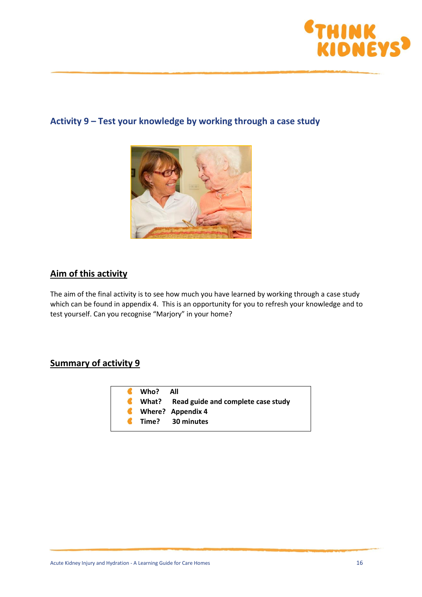

## **Activity 9 – Test your knowledge by working through a case study**



## **Aim of this activity**

The aim of the final activity is to see how much you have learned by working through a case study which can be found in appendix 4. This is an opportunity for you to refresh your knowledge and to test yourself. Can you recognise "Marjory" in your home?

## **Summary of activity 9**

| Who? All |                                          |
|----------|------------------------------------------|
|          | What? Read guide and complete case study |
|          | Where? Appendix 4                        |
|          | Time? 30 minutes                         |
|          |                                          |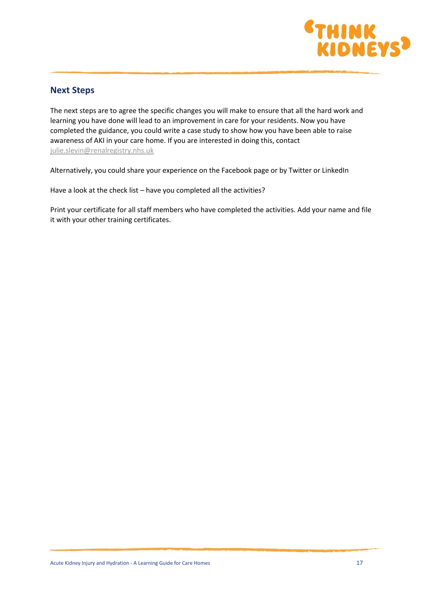

## **Next Steps**

The next steps are to agree the specific changes you will make to ensure that all the hard work and learning you have done will lead to an improvement in care for your residents. Now you have completed the guidance, you could write a case study to show how you have been able to raise awareness of AKI in your care home. If you are interested in doing this, contact [julie.slevin@renalregistry.nhs.uk](mailto:julie.slevin@renalregistry.nhs.uk) 

Alternatively, you could share your experience on the Facebook page or by Twitter or LinkedIn

Have a look at the check list – have you completed all the activities?

Print your certificate for all staff members who have completed the activities. Add your name and file it with your other training certificates.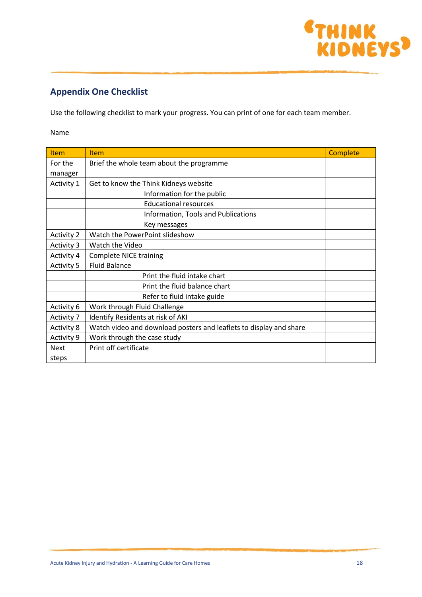

## **Appendix One Checklist**

Use the following checklist to mark your progress. You can print of one for each team member.

Name

| Item              | <b>Item</b>                                                        | <b>Complete</b> |
|-------------------|--------------------------------------------------------------------|-----------------|
| For the           | Brief the whole team about the programme                           |                 |
| manager           |                                                                    |                 |
| Activity 1        | Get to know the Think Kidneys website                              |                 |
|                   | Information for the public                                         |                 |
|                   | <b>Educational resources</b>                                       |                 |
|                   | Information, Tools and Publications                                |                 |
|                   | Key messages                                                       |                 |
| <b>Activity 2</b> | Watch the PowerPoint slideshow                                     |                 |
| <b>Activity 3</b> | Watch the Video                                                    |                 |
| Activity 4        | <b>Complete NICE training</b>                                      |                 |
| Activity 5        | <b>Fluid Balance</b>                                               |                 |
|                   | Print the fluid intake chart                                       |                 |
|                   | Print the fluid balance chart                                      |                 |
|                   | Refer to fluid intake guide                                        |                 |
| Activity 6        | Work through Fluid Challenge                                       |                 |
| Activity 7        | Identify Residents at risk of AKI                                  |                 |
| <b>Activity 8</b> | Watch video and download posters and leaflets to display and share |                 |
| Activity 9        | Work through the case study                                        |                 |
| <b>Next</b>       | Print off certificate                                              |                 |
| steps             |                                                                    |                 |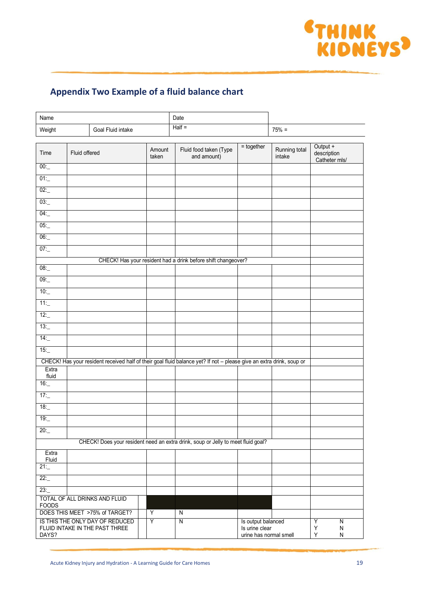

## **Appendix Two Example of a fluid balance chart**

| Name           |               |                                 |                 | Date                                                                                                                 |                                          |                         |                                          |
|----------------|---------------|---------------------------------|-----------------|----------------------------------------------------------------------------------------------------------------------|------------------------------------------|-------------------------|------------------------------------------|
| Weight         |               | Goal Fluid intake               |                 | $Half =$                                                                                                             |                                          | $75% =$                 |                                          |
|                |               |                                 |                 |                                                                                                                      |                                          |                         |                                          |
| Time           | Fluid offered |                                 | Amount<br>taken | Fluid food taken (Type<br>and amount)                                                                                | $=$ together                             | Running total<br>intake | Output +<br>description<br>Catheter mls/ |
| 00:            |               |                                 |                 |                                                                                                                      |                                          |                         |                                          |
| 01:            |               |                                 |                 |                                                                                                                      |                                          |                         |                                          |
| 02:            |               |                                 |                 |                                                                                                                      |                                          |                         |                                          |
| 03:            |               |                                 |                 |                                                                                                                      |                                          |                         |                                          |
| 04:            |               |                                 |                 |                                                                                                                      |                                          |                         |                                          |
| 05:            |               |                                 |                 |                                                                                                                      |                                          |                         |                                          |
| 06:            |               |                                 |                 |                                                                                                                      |                                          |                         |                                          |
| 07:            |               |                                 |                 |                                                                                                                      |                                          |                         |                                          |
|                |               |                                 |                 | CHECK! Has your resident had a drink before shift changeover?                                                        |                                          |                         |                                          |
| 08:            |               |                                 |                 |                                                                                                                      |                                          |                         |                                          |
| 09:            |               |                                 |                 |                                                                                                                      |                                          |                         |                                          |
| 10:            |               |                                 |                 |                                                                                                                      |                                          |                         |                                          |
| 11:            |               |                                 |                 |                                                                                                                      |                                          |                         |                                          |
| 12:            |               |                                 |                 |                                                                                                                      |                                          |                         |                                          |
| 13:            |               |                                 |                 |                                                                                                                      |                                          |                         |                                          |
| 14:            |               |                                 |                 |                                                                                                                      |                                          |                         |                                          |
| 15:            |               |                                 |                 |                                                                                                                      |                                          |                         |                                          |
|                |               |                                 |                 | CHECK! Has your resident received half of their goal fluid balance yet? If not - please give an extra drink, soup or |                                          |                         |                                          |
| Extra<br>fluid |               |                                 |                 |                                                                                                                      |                                          |                         |                                          |
| 16:            |               |                                 |                 |                                                                                                                      |                                          |                         |                                          |
| 17:            |               |                                 |                 |                                                                                                                      |                                          |                         |                                          |
| 18:            |               |                                 |                 |                                                                                                                      |                                          |                         |                                          |
| 19:            |               |                                 |                 |                                                                                                                      |                                          |                         |                                          |
| 20:            |               |                                 |                 |                                                                                                                      |                                          |                         |                                          |
|                |               |                                 |                 | CHECK! Does your resident need an extra drink, soup or Jelly to meet fluid goal?                                     |                                          |                         |                                          |
| Extra          |               |                                 |                 |                                                                                                                      |                                          |                         |                                          |
| Fluid<br>21:   |               |                                 |                 |                                                                                                                      |                                          |                         |                                          |
| 22:            |               |                                 |                 |                                                                                                                      |                                          |                         |                                          |
| 23:            |               |                                 |                 |                                                                                                                      |                                          |                         |                                          |
|                |               | TOTAL OF ALL DRINKS AND FLUID   |                 |                                                                                                                      |                                          |                         |                                          |
| <b>FOODS</b>   |               | DOES THIS MEET >75% of TARGET?  | Y               | N                                                                                                                    |                                          |                         |                                          |
|                |               | IS THIS THE ONLY DAY OF REDUCED | Y               | $\overline{N}$                                                                                                       | Is output balanced                       |                         | Υ<br>N                                   |
| DAYS?          |               | FLUID INTAKE IN THE PAST THREE  |                 |                                                                                                                      | Is urine clear<br>urine has normal smell |                         | Y<br>${\sf N}$<br>Y<br>N                 |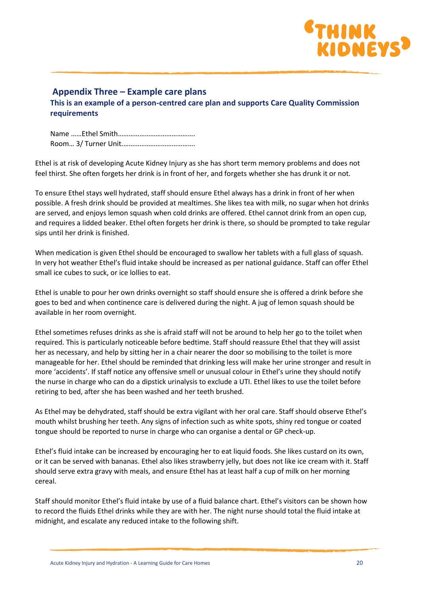

## **Appendix Three – Example care plans**

**This is an example of a person-centred care plan and supports Care Quality Commission requirements**

Name ……Ethel Smith……………………………………. Room… 3/ Turner Unit.………………………………….

Ethel is at risk of developing Acute Kidney Injury as she has short term memory problems and does not feel thirst. She often forgets her drink is in front of her, and forgets whether she has drunk it or not.

To ensure Ethel stays well hydrated, staff should ensure Ethel always has a drink in front of her when possible. A fresh drink should be provided at mealtimes. She likes tea with milk, no sugar when hot drinks are served, and enjoys lemon squash when cold drinks are offered. Ethel cannot drink from an open cup, and requires a lidded beaker. Ethel often forgets her drink is there, so should be prompted to take regular sips until her drink is finished.

When medication is given Ethel should be encouraged to swallow her tablets with a full glass of squash. In very hot weather Ethel's fluid intake should be increased as per national guidance. Staff can offer Ethel small ice cubes to suck, or ice lollies to eat.

Ethel is unable to pour her own drinks overnight so staff should ensure she is offered a drink before she goes to bed and when continence care is delivered during the night. A jug of lemon squash should be available in her room overnight.

Ethel sometimes refuses drinks as she is afraid staff will not be around to help her go to the toilet when required. This is particularly noticeable before bedtime. Staff should reassure Ethel that they will assist her as necessary, and help by sitting her in a chair nearer the door so mobilising to the toilet is more manageable for her. Ethel should be reminded that drinking less will make her urine stronger and result in more 'accidents'. If staff notice any offensive smell or unusual colour in Ethel's urine they should notify the nurse in charge who can do a dipstick urinalysis to exclude a UTI. Ethel likes to use the toilet before retiring to bed, after she has been washed and her teeth brushed.

As Ethel may be dehydrated, staff should be extra vigilant with her oral care. Staff should observe Ethel's mouth whilst brushing her teeth. Any signs of infection such as white spots, shiny red tongue or coated tongue should be reported to nurse in charge who can organise a dental or GP check-up.

Ethel's fluid intake can be increased by encouraging her to eat liquid foods. She likes custard on its own, or it can be served with bananas. Ethel also likes strawberry jelly, but does not like ice cream with it. Staff should serve extra gravy with meals, and ensure Ethel has at least half a cup of milk on her morning cereal.

Staff should monitor Ethel's fluid intake by use of a fluid balance chart. Ethel's visitors can be shown how to record the fluids Ethel drinks while they are with her. The night nurse should total the fluid intake at midnight, and escalate any reduced intake to the following shift.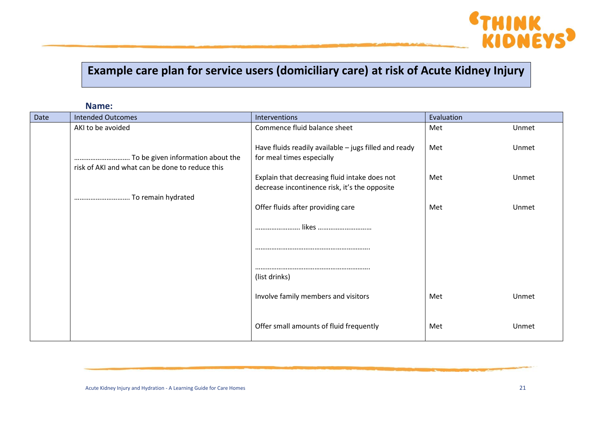

# **Example care plan for service users (domiciliary care) at risk of Acute Kidney Injury**

#### **Name:**

| Date | <b>Intended Outcomes</b>                                                             | Interventions                                                                                  | Evaluation |       |
|------|--------------------------------------------------------------------------------------|------------------------------------------------------------------------------------------------|------------|-------|
|      | AKI to be avoided                                                                    | Commence fluid balance sheet                                                                   | Met        | Unmet |
|      | To be given information about the<br>risk of AKI and what can be done to reduce this | Have fluids readily available - jugs filled and ready<br>for meal times especially             | Met        | Unmet |
|      | To remain hydrated                                                                   | Explain that decreasing fluid intake does not<br>decrease incontinence risk, it's the opposite | Met        | Unmet |
|      |                                                                                      | Offer fluids after providing care                                                              | Met        | Unmet |
|      |                                                                                      | . likes                                                                                        |            |       |
|      |                                                                                      |                                                                                                |            |       |
|      |                                                                                      | (list drinks)                                                                                  |            |       |
|      |                                                                                      | Involve family members and visitors                                                            | Met        | Unmet |
|      |                                                                                      | Offer small amounts of fluid frequently                                                        | Met        | Unmet |

Acute Kidney Injury a Guide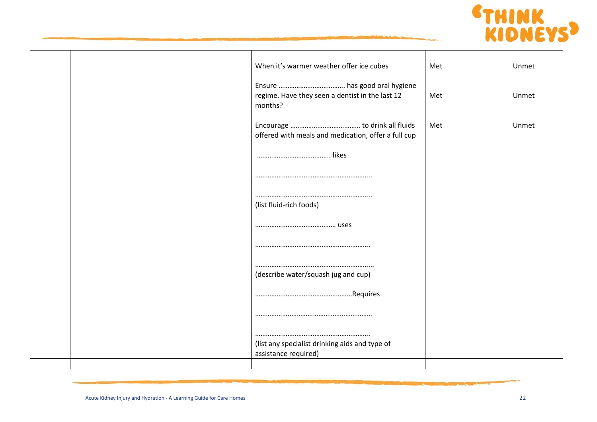

|  | When it's warmer weather offer ice cubes                               | Met | Unmet |
|--|------------------------------------------------------------------------|-----|-------|
|  | regime. Have they seen a dentist in the last 12<br>months?             | Met | Unmet |
|  | offered with meals and medication, offer a full cup                    | Met | Unmet |
|  |                                                                        |     |       |
|  |                                                                        |     |       |
|  | (list fluid-rich foods)                                                |     |       |
|  |                                                                        |     |       |
|  |                                                                        |     |       |
|  | (describe water/squash jug and cup)                                    |     |       |
|  |                                                                        |     |       |
|  |                                                                        |     |       |
|  | (list any specialist drinking aids and type of<br>assistance required) |     |       |
|  |                                                                        |     |       |

l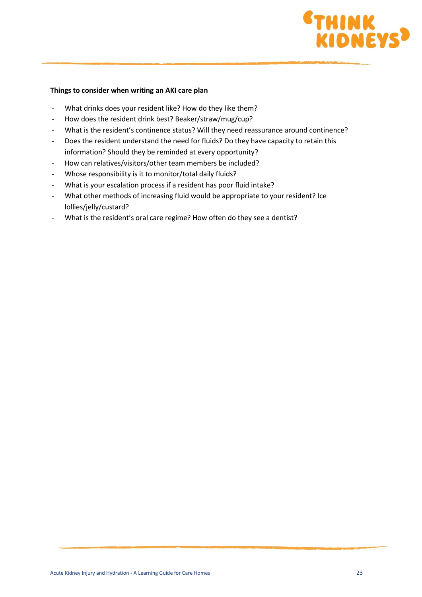

#### **Things to consider when writing an AKI care plan**

- What drinks does your resident like? How do they like them?
- How does the resident drink best? Beaker/straw/mug/cup?
- What is the resident's continence status? Will they need reassurance around continence?
- Does the resident understand the need for fluids? Do they have capacity to retain this information? Should they be reminded at every opportunity?
- How can relatives/visitors/other team members be included?
- Whose responsibility is it to monitor/total daily fluids?
- What is your escalation process if a resident has poor fluid intake?
- What other methods of increasing fluid would be appropriate to your resident? Ice lollies/jelly/custard?
- What is the resident's oral care regime? How often do they see a dentist?

Acute Kidney Injury a Guide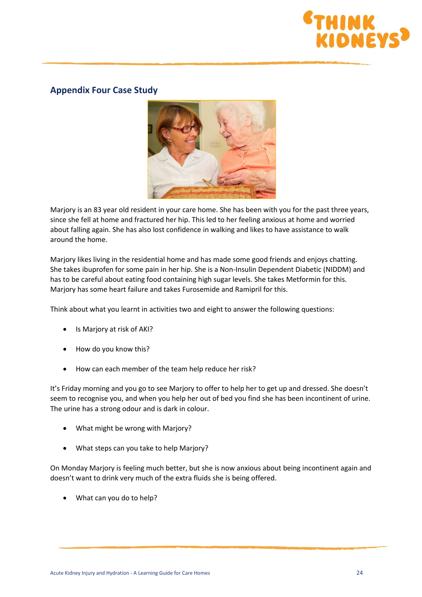

### **Appendix Four Case Study**



Marjory is an 83 year old resident in your care home. She has been with you for the past three years, since she fell at home and fractured her hip. This led to her feeling anxious at home and worried about falling again. She has also lost confidence in walking and likes to have assistance to walk around the home.

Marjory likes living in the residential home and has made some good friends and enjoys chatting. She takes ibuprofen for some pain in her hip. She is a Non-Insulin Dependent Diabetic (NIDDM) and has to be careful about eating food containing high sugar levels. She takes Metformin for this. Marjory has some heart failure and takes Furosemide and Ramipril for this.

Think about what you learnt in activities two and eight to answer the following questions:

- Is Marjory at risk of AKI?
- How do you know this?
- How can each member of the team help reduce her risk?

It's Friday morning and you go to see Marjory to offer to help her to get up and dressed. She doesn't seem to recognise you, and when you help her out of bed you find she has been incontinent of urine. The urine has a strong odour and is dark in colour.

- What might be wrong with Marjory?
- What steps can you take to help Marjory?

On Monday Marjory is feeling much better, but she is now anxious about being incontinent again and doesn't want to drink very much of the extra fluids she is being offered.

What can you do to help?

Acute Kidney Injury a Guide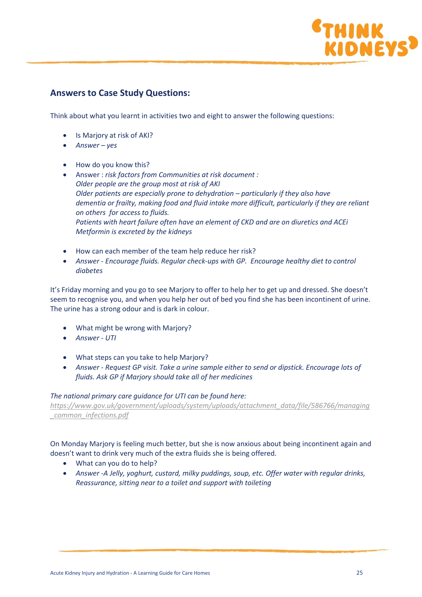

## **Answers to Case Study Questions:**

Think about what you learnt in activities two and eight to answer the following questions:

- Is Marjory at risk of AKI?
- *Answer – yes*
- How do you know this?
- Answer : *risk factors from Communities at risk document : Older people are the group most at risk of AKI Older patients are especially prone to dehydration – particularly if they also have dementia or frailty, making food and fluid intake more difficult, particularly if they are reliant on others for access to fluids. Patients with heart failure often have an element of CKD and are on diuretics and ACEi Metformin is excreted by the kidneys*
- How can each member of the team help reduce her risk?
- *Answer Encourage fluids. Regular check-ups with GP. Encourage healthy diet to control diabetes*

It's Friday morning and you go to see Marjory to offer to help her to get up and dressed. She doesn't seem to recognise you, and when you help her out of bed you find she has been incontinent of urine. The urine has a strong odour and is dark in colour.

- What might be wrong with Marjory?
- *Answer - UTI*
- What steps can you take to help Marjory?
- *Answer - Request GP visit. Take a urine sample either to send or dipstick. Encourage lots of fluids. Ask GP if Marjory should take all of her medicines*

#### *The national primary care guidance for UTI can be found here:*

*[https://www.gov.uk/government/uploads/system/uploads/attachment\\_data/file/586766/managing](https://www.gov.uk/government/uploads/system/uploads/attachment_data/file/586766/managing_common_infections.pdf) [\\_common\\_infections.pdf](https://www.gov.uk/government/uploads/system/uploads/attachment_data/file/586766/managing_common_infections.pdf)*

On Monday Marjory is feeling much better, but she is now anxious about being incontinent again and doesn't want to drink very much of the extra fluids she is being offered.

- What can you do to help?
- *Answer* -*A Jelly, yoghurt, custard, milky puddings, soup, etc. Offer water with regular drinks, Reassurance, sitting near to a toilet and support with toileting*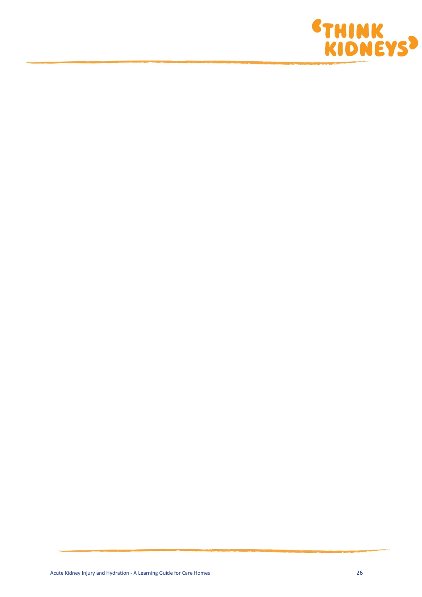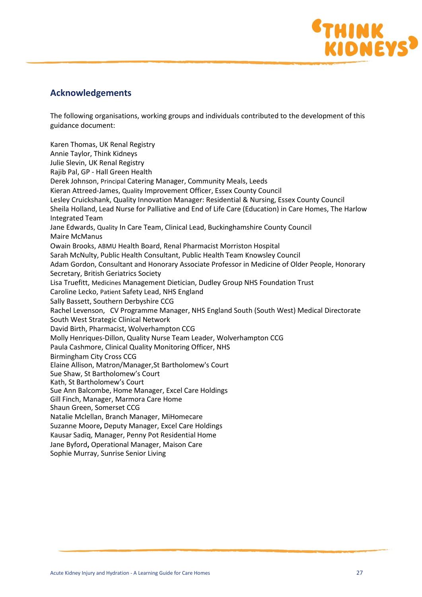

## **Acknowledgements**

The following organisations, working groups and individuals contributed to the development of this guidance document:

Karen Thomas, UK Renal Registry Annie Taylor, Think Kidneys Julie Slevin, UK Renal Registry Rajib Pal, GP - Hall Green Health Derek Johnson, Principal Catering Manager, Community Meals, Leeds Kieran Attreed-James, Quality Improvement Officer, Essex County Council Lesley Cruickshank, Quality Innovation Manager: Residential & Nursing, Essex County Council Sheila Holland, Lead Nurse for Palliative and End of Life Care (Education) in Care Homes, The Harlow Integrated Team Jane Edwards, Quality In Care Team, Clinical Lead, Buckinghamshire County Council Maire McManus Owain Brooks, ABMU Health Board, Renal Pharmacist Morriston Hospital Sarah McNulty, Public Health Consultant, Public Health Team Knowsley Council Adam Gordon, Consultant and Honorary Associate Professor in Medicine of Older People, Honorary Secretary, British Geriatrics Society Lisa Truefitt, Medicines Management Dietician, Dudley Group NHS Foundation Trust Caroline Lecko, Patient Safety Lead, NHS England Sally Bassett, Southern Derbyshire CCG Rachel Levenson, CV Programme Manager, NHS England South (South West) Medical Directorate South West Strategic Clinical Network David Birth, Pharmacist, Wolverhampton CCG Molly Henriques-Dillon, Quality Nurse Team Leader, Wolverhampton CCG Paula Cashmore, Clinical Quality Monitoring Officer, NHS Birmingham City Cross CCG Elaine Allison, Matron/Manager,St Bartholomew's Court Sue Shaw, St Bartholomew's Court Kath, St Bartholomew's Court Sue Ann Balcombe, Home Manager, Excel Care Holdings Gill Finch, Manager, Marmora Care Home Shaun Green, Somerset CCG Natalie Mclellan, Branch Manager, MiHomecare Suzanne Moore**,** Deputy Manager, Excel Care Holdings Kausar Sadiq, Manager, Penny Pot Residential Home Jane Byford**,** Operational Manager, Maison Care Sophie Murray, Sunrise Senior Living